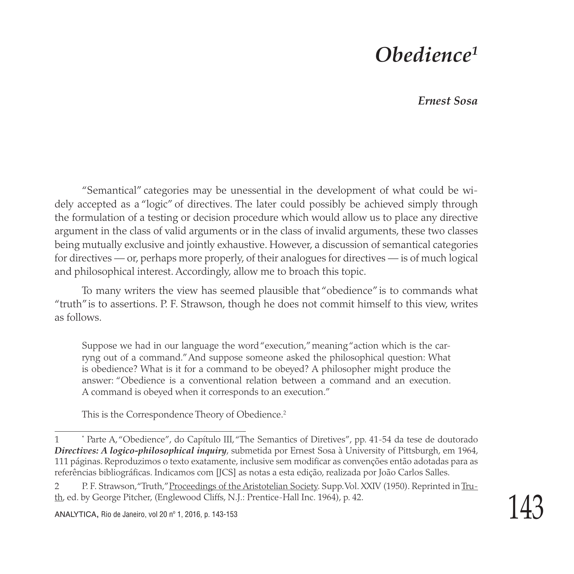## *Obedience1*

 *Ernest Sosa*

"Semantical" categories may be unessential in the development of what could be widely accepted as a "logic" of directives. The later could possibly be achieved simply through the formulation of a testing or decision procedure which would allow us to place any directive argument in the class of valid arguments or in the class of invalid arguments, these two classes being mutually exclusive and jointly exhaustive. However, a discussion of semantical categories for directives — or, perhaps more properly, of their analogues for directives — is of much logical and philosophical interest. Accordingly, allow me to broach this topic.

To many writers the view has seemed plausible that "obedience" is to commands what "truth" is to assertions. P. F. Strawson, though he does not commit himself to this view, writes as follows.

Suppose we had in our language the word "execution," meaning "action which is the carryng out of a command." And suppose someone asked the philosophical question: What is obedience? What is it for a command to be obeyed? A philosopher might produce the answer: "Obedience is a conventional relation between a command and an execution. A command is obeyed when it corresponds to an execution."

This is the Correspondence Theory of Obedience.<sup>2</sup>

<sup>1</sup> \* Parte A, "Obedience", do Capítulo III, "The Semantics of Diretives", pp. 41-54 da tese de doutorado *Directives: A logico-philosophical inquiry*, submetida por Ernest Sosa à University of Pittsburgh, em 1964, 111 páginas. Reproduzimos o texto exatamente, inclusive sem modificar as convenções então adotadas para as referências bibliográficas. Indicamos com [JCS] as notas a esta edição, realizada por João Carlos Salles.

<sup>2</sup> P. F. Strawson, "Truth," Proceedings of the Aristotelian Society. Supp. Vol. XXIV (1950). Reprinted in Truth, ed. by George Pitcher, (Englewood Cliffs, N.J.: Prentice-Hall Inc. 1964), p. 42.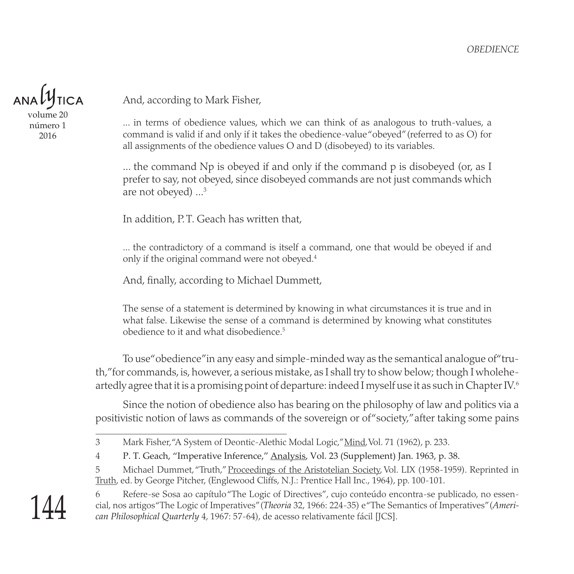

volume 20 número 1 2016

And, according to Mark Fisher,

... in terms of obedience values, which we can think of as analogous to truth-values, a command is valid if and only if it takes the obedience-value "obeyed" (referred to as O) for all assignments of the obedience values O and D (disobeyed) to its variables.

... the command Np is obeyed if and only if the command p is disobeyed (or, as I prefer to say, not obeyed, since disobeyed commands are not just commands which are not obeyed) ...3

In addition, P.T. Geach has written that,

... the contradictory of a command is itself a command, one that would be obeyed if and only if the original command were not obeyed.4

And, finally, according to Michael Dummett,

The sense of a statement is determined by knowing in what circumstances it is true and in what false. Likewise the sense of a command is determined by knowing what constitutes obedience to it and what disobedience.5

To use "obedience" in any easy and simple-minded way as the semantical analogue of "truth," for commands, is, however, a serious mistake, as I shall try to show below; though I wholeheartedly agree that it is a promising point of departure: indeed I myself use it as such in Chapter IV.6

Since the notion of obedience also has bearing on the philosophy of law and politics via a positivistic notion of laws as commands of the sovereign or of "society," after taking some pains

5 Michael Dummet, "Truth," Proceedings of the Aristotelian Society, Vol. LIX (1958-1959). Reprinted in Truth, ed. by George Pitcher, (Englewood Cliffs, N.J.: Prentice Hall Inc., 1964), pp. 100-101.



<sup>6</sup> Refere-se Sosa ao capítulo "The Logic of Directives", cujo conteúdo encontra-se publicado, no essencial, nos artigos "The Logic of Imperatives" (*Theoria* 32, 1966: 224-35) e "The Semantics of Imperatives" (*American Philosophical Quarterly* 4, 1967: 57-64), de acesso relativamente fácil [JCS].

<sup>3</sup> Mark Fisher, "A System of Deontic-Alethic Modal Logic," Mind, Vol. 71 (1962), p. 233.

<sup>4</sup> P. T. Geach, "Imperative Inference," Analysis, Vol. 23 (Supplement) Jan. 1963, p. 38.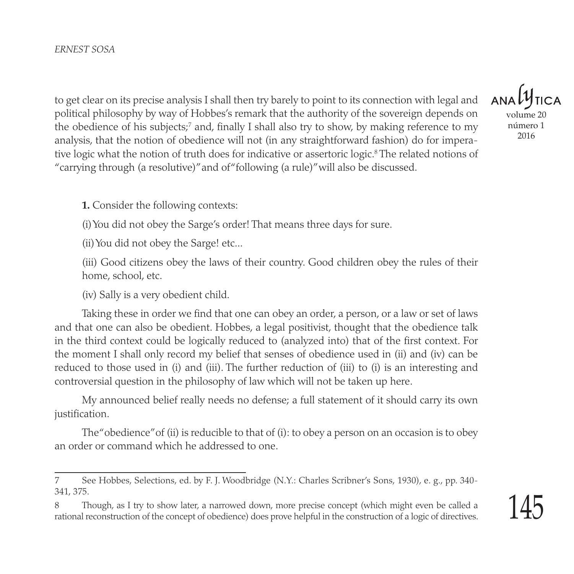to get clear on its precise analysis I shall then try barely to point to its connection with legal and political philosophy by way of Hobbes's remark that the authority of the sovereign depends on the obedience of his subjects;<sup>7</sup> and, finally I shall also try to show, by making reference to my analysis, that the notion of obedience will not (in any straightforward fashion) do for imperative logic what the notion of truth does for indicative or assertoric logic.8 The related notions of "carrying through (a resolutive)" and of "following (a rule)" will also be discussed.

volume 20 número 1

2016

**1.** Consider the following contexts:

(i) You did not obey the Sarge's order! That means three days for sure.

(ii) You did not obey the Sarge! etc...

(iii) Good citizens obey the laws of their country. Good children obey the rules of their home, school, etc.

(iv) Sally is a very obedient child.

Taking these in order we find that one can obey an order, a person, or a law or set of laws and that one can also be obedient. Hobbes, a legal positivist, thought that the obedience talk in the third context could be logically reduced to (analyzed into) that of the first context. For the moment I shall only record my belief that senses of obedience used in (ii) and (iv) can be reduced to those used in (i) and (iii). The further reduction of (iii) to (i) is an interesting and controversial question in the philosophy of law which will not be taken up here.

My announced belief really needs no defense; a full statement of it should carry its own justification.

The "obedience" of (ii) is reducible to that of (i): to obey a person on an occasion is to obey an order or command which he addressed to one.

<sup>7</sup> See Hobbes, Selections, ed. by F. J. Woodbridge (N.Y.: Charles Scribner's Sons, 1930), e. g., pp. 340- 341, 375.

<sup>8</sup> Though, as I try to show later, a narrowed down, more precise concept (which might even be called a rational reconstruction of the concept of obedience) does prove helpful in the construction of a logic of directives.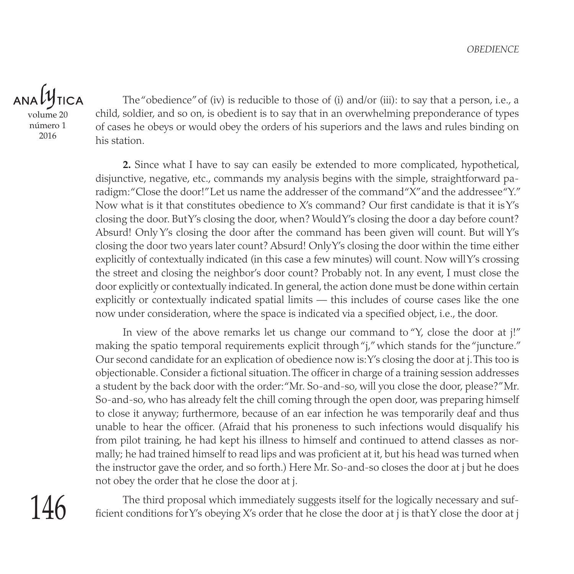## $ANDU$ **TICA**

volume 20 número 1 2016

The "obedience" of (iv) is reducible to those of (i) and/or (iii): to say that a person, i.e., a child, soldier, and so on, is obedient is to say that in an overwhelming preponderance of types of cases he obeys or would obey the orders of his superiors and the laws and rules binding on his station.

**2.** Since what I have to say can easily be extended to more complicated, hypothetical, disjunctive, negative, etc., commands my analysis begins with the simple, straightforward paradigm: "Close the door!" Let us name the addresser of the command "X" and the addressee "Y." Now what is it that constitutes obedience to X's command? Our first candidate is that it is Y's closing the door. But Y's closing the door, when? Would Y's closing the door a day before count? Absurd! Only Y's closing the door after the command has been given will count. But will Y's closing the door two years later count? Absurd! Only Y's closing the door within the time either explicitly of contextually indicated (in this case a few minutes) will count. Now will Y's crossing the street and closing the neighbor's door count? Probably not. In any event, I must close the door explicitly or contextually indicated. In general, the action done must be done within certain explicitly or contextually indicated spatial limits — this includes of course cases like the one now under consideration, where the space is indicated via a specified object, i.e., the door.

In view of the above remarks let us change our command to "Y, close the door at j!" making the spatio temporal requirements explicit through "*j*," which stands for the "juncture." Our second candidate for an explication of obedience now is: Y's closing the door at j. This too is objectionable. Consider a fictional situation. The officer in charge of a training session addresses a student by the back door with the order: "Mr. So-and-so, will you close the door, please?" Mr. So-and-so, who has already felt the chill coming through the open door, was preparing himself to close it anyway; furthermore, because of an ear infection he was temporarily deaf and thus unable to hear the officer. (Afraid that his proneness to such infections would disqualify his from pilot training, he had kept his illness to himself and continued to attend classes as normally; he had trained himself to read lips and was proficient at it, but his head was turned when the instructor gave the order, and so forth.) Here Mr. So-and-so closes the door at j but he does not obey the order that he close the door at j.

The third proposal which immediately suggests itself for the logically necessary and sufficient conditions for Y's obeying X's order that he close the door at j is that Y close the door at j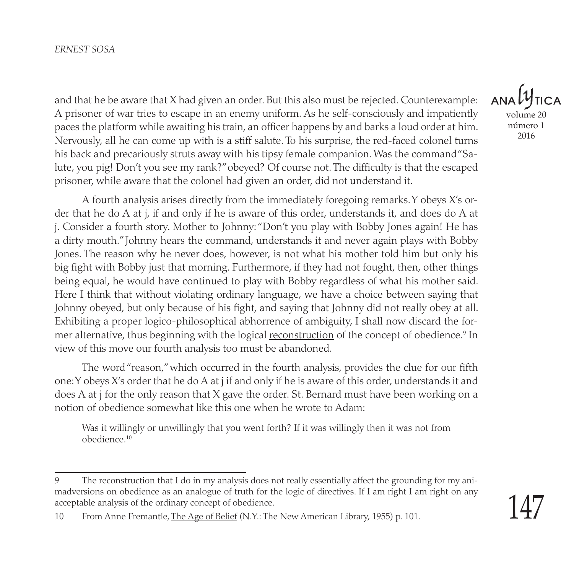#### *Ernest Sosa*

and that he be aware that X had given an order. But this also must be rejected. Counterexample: A prisoner of war tries to escape in an enemy uniform. As he self-consciously and impatiently paces the platform while awaiting his train, an officer happens by and barks a loud order at him. Nervously, all he can come up with is a stiff salute. To his surprise, the red-faced colonel turns his back and precariously struts away with his tipsy female companion. Was the command "Salute, you pig! Don't you see my rank?" obeyed? Of course not. The difficulty is that the escaped prisoner, while aware that the colonel had given an order, did not understand it.

A fourth analysis arises directly from the immediately foregoing remarks. Y obeys X's order that he do A at j, if and only if he is aware of this order, understands it, and does do A at j. Consider a fourth story. Mother to Johnny: "Don't you play with Bobby Jones again! He has a dirty mouth." Johnny hears the command, understands it and never again plays with Bobby Jones. The reason why he never does, however, is not what his mother told him but only his big fight with Bobby just that morning. Furthermore, if they had not fought, then, other things being equal, he would have continued to play with Bobby regardless of what his mother said. Here I think that without violating ordinary language, we have a choice between saying that Johnny obeyed, but only because of his fight, and saying that Johnny did not really obey at all. Exhibiting a proper logico-philosophical abhorrence of ambiguity, I shall now discard the former alternative*,* thus beginning with the logical <u>reconstruction</u> of the concept of obedience.<sup>9</sup> In view of this move our fourth analysis too must be abandoned.

The word "reason," which occurred in the fourth analysis, provides the clue for our fifth one: Y obeys X's order that he do A at j if and only if he is aware of this order, understands it and does A at j for the only reason that X gave the order. St. Bernard must have been working on a notion of obedience somewhat like this one when he wrote to Adam:

Was it willingly or unwillingly that you went forth? If it was willingly then it was not from obedience.10



<sup>9</sup> The reconstruction that I do in my analysis does not really essentially affect the grounding for my animadversions on obedience as an analogue of truth for the logic of directives. If I am right I am right on any acceptable analysis of the ordinary concept of obedience.

<sup>10</sup> From Anne Fremantle, The Age of Belief (N.Y.: The New American Library, 1955) p. 101.

<sup>147</sup>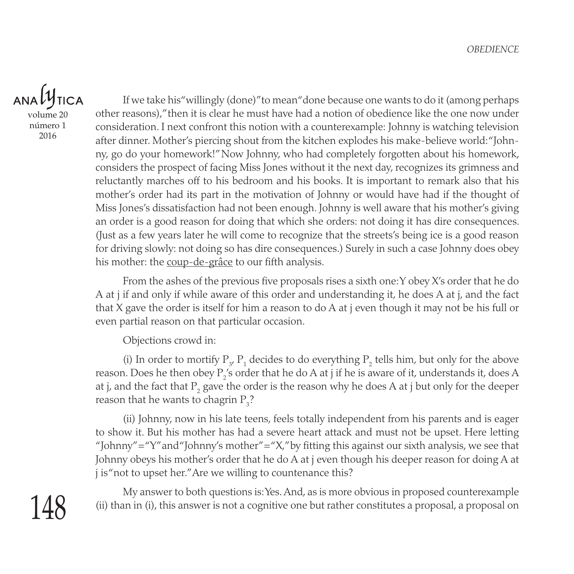## $ANA}$ **TICA**

volume 20 número 1 2016

If we take his "willingly (done)" to mean "done because one wants to do it (among perhaps other reasons)," then it is clear he must have had a notion of obedience like the one now under consideration. I next confront this notion with a counterexample: Johnny is watching television after dinner. Mother's piercing shout from the kitchen explodes his make-believe world: "Johnny, go do your homework!" Now Johnny, who had completely forgotten about his homework, considers the prospect of facing Miss Jones without it the next day, recognizes its grimness and reluctantly marches off to his bedroom and his books. It is important to remark also that his mother's order had its part in the motivation of Johnny or would have had if the thought of Miss Jones's dissatisfaction had not been enough. Johnny is well aware that his mother's giving an order is a good reason for doing that which she orders: not doing it has dire consequences. (Just as a few years later he will come to recognize that the streets's being ice is a good reason for driving slowly: not doing so has dire consequences.) Surely in such a case Johnny does obey his mother: the coup-de-grâce to our fifth analysis.

From the ashes of the previous five proposals rises a sixth one: Y obey X's order that he do A at j if and only if while aware of this order and understanding it, he does A at j, and the fact that X gave the order is itself for him a reason to do A at j even though it may not be his full or even partial reason on that particular occasion.

Objections crowd in:

(i) In order to mortify  $P_y$ ,  $P_1$  decides to do everything  $P_2$  tells him, but only for the above reason. Does he then obey  $\rm P_2'$ s order that he do A at j if he is aware of it, understands it, does A at j, and the fact that  $\mathrm{P}_\mathrm{2}$  gave the order is the reason why he does A at j but only for the deeper reason that he wants to chagrin  $P_3$ ?

(ii) Johnny, now in his late teens, feels totally independent from his parents and is eager to show it. But his mother has had a severe heart attack and must not be upset. Here letting "Johnny" = "Y" and "Johnny's mother" = "X," by fitting this against our sixth analysis, we see that Johnny obeys his mother's order that he do A at j even though his deeper reason for doing A at j is "not to upset her." Are we willing to countenance this?

My answer to both questions is: Yes. And, as is more obvious in proposed counterexample (ii) than in (i), this answer is not a cognitive one but rather constitutes a proposal, a proposal on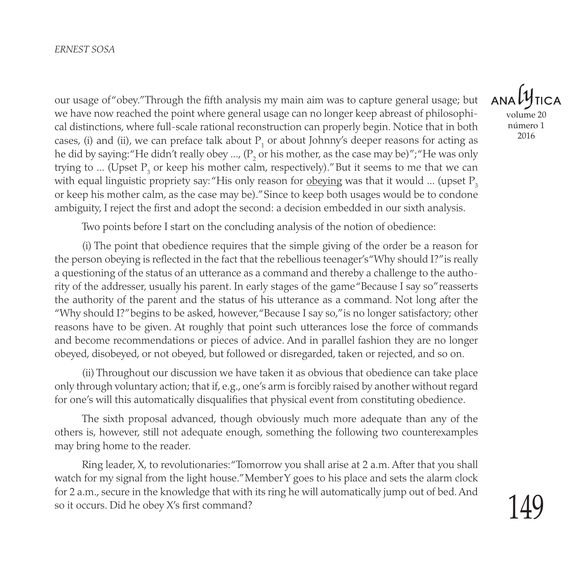#### *Ernest Sosa*

our usage of "obey." Through the fifth analysis my main aim was to capture general usage; but we have now reached the point where general usage can no longer keep abreast of philosophical distinctions, where full-scale rational reconstruction can properly begin. Notice that in both cases, (i) and (ii), we can preface talk about  $P_1$  or about Johnny's deeper reasons for acting as he did by saying:"He didn't really obey …, ( $\mathrm{P}_2$  or his mother, as the case may be)";"He was only trying to ... (Upset  $P_3$  or keep his mother calm, respectively)." But it seems to me that we can with equal linguistic propriety say: "His only reason for obeying was that it would ... (upset  $P_3$ ) or keep his mother calm, as the case may be)." Since to keep both usages would be to condone ambiguity, I reject the first and adopt the second: a decision embedded in our sixth analysis.

Two points before I start on the concluding analysis of the notion of obedience:

(i) The point that obedience requires that the simple giving of the order be a reason for the person obeying is reflected in the fact that the rebellious teenager's "Why should I?" is really a questioning of the status of an utterance as a command and thereby a challenge to the authority of the addresser, usually his parent. In early stages of the game "Because I say so" reasserts the authority of the parent and the status of his utterance as a command. Not long after the "Why should I?" begins to be asked, however, "Because I say so," is no longer satisfactory; other reasons have to be given. At roughly that point such utterances lose the force of commands and become recommendations or pieces of advice. And in parallel fashion they are no longer obeyed, disobeyed, or not obeyed, but followed or disregarded, taken or rejected, and so on.

(ii) Throughout our discussion we have taken it as obvious that obedience can take place only through voluntary action; that if, e.g., one's arm is forcibly raised by another without regard for one's will this automatically disqualifies that physical event from constituting obedience.

The sixth proposal advanced, though obviously much more adequate than any of the others is, however, still not adequate enough, something the following two counterexamples may bring home to the reader.

Ring leader, X, to revolutionaries: "Tomorrow you shall arise at 2 a.m. After that you shall watch for my signal from the light house." Member Y goes to his place and sets the alarm clock for 2 a.m., secure in the knowledge that with its ring he will automatically jump out of bed. And so it occurs. Did he obey X's first command?

 $ANDUV$ volume 20 número 1 2016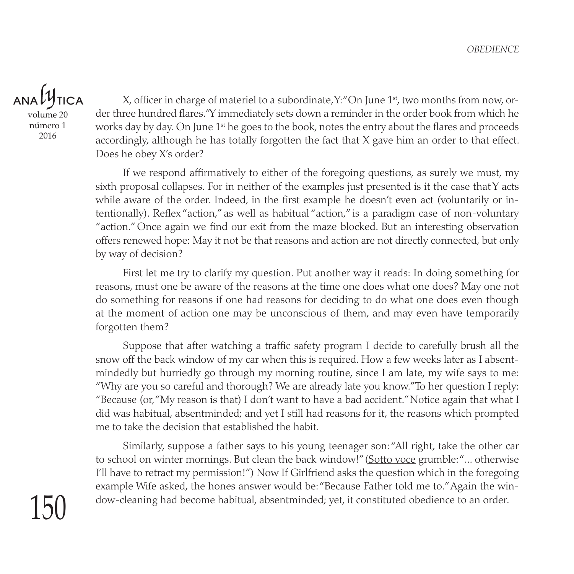## $ANDU$ **TICA**

volume 20 número 1 2016

X, officer in charge of materiel to a subordinate,  $Y:$  "On June  $1<sup>st</sup>$ , two months from now, order three hundred flares." Y immediately sets down a reminder in the order book from which he works day by day. On June  $1<sup>st</sup>$  he goes to the book, notes the entry about the flares and proceeds accordingly, although he has totally forgotten the fact that X gave him an order to that effect. Does he obey X's order?

If we respond affirmatively to either of the foregoing questions, as surely we must, my sixth proposal collapses. For in neither of the examples just presented is it the case that Y acts while aware of the order. Indeed, in the first example he doesn't even act (voluntarily or intentionally). Reflex "action," as well as habitual "action," is a paradigm case of non-voluntary "action." Once again we find our exit from the maze blocked. But an interesting observation offers renewed hope: May it not be that reasons and action are not directly connected, but only by way of decision?

First let me try to clarify my question. Put another way it reads: In doing something for reasons, must one be aware of the reasons at the time one does what one does? May one not do something for reasons if one had reasons for deciding to do what one does even though at the moment of action one may be unconscious of them, and may even have temporarily forgotten them?

Suppose that after watching a traffic safety program I decide to carefully brush all the snow off the back window of my car when this is required. How a few weeks later as I absentmindedly but hurriedly go through my morning routine, since I am late, my wife says to me: "Why are you so careful and thorough? We are already late you know." To her question I reply: "Because (or, "My reason is that) I don't want to have a bad accident." Notice again that what I did was habitual, absentminded; and yet I still had reasons for it, the reasons which prompted me to take the decision that established the habit.

Similarly, suppose a father says to his young teenager son: "All right, take the other car to school on winter mornings. But clean the back window!" (Sotto voce grumble: "... otherwise I'll have to retract my permission!") Now If Girlfriend asks the question which in the foregoing example Wife asked, the hones answer would be: "Because Father told me to." Again the window-cleaning had become habitual, absentminded; yet, it constituted obedience to an order.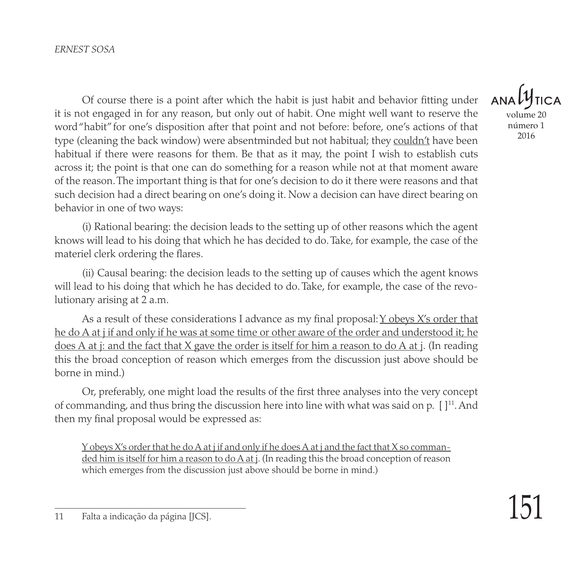Of course there is a point after which the habit is just habit and behavior fitting under it is not engaged in for any reason, but only out of habit. One might well want to reserve the word "habit" for one's disposition after that point and not before: before, one's actions of that type (cleaning the back window) were absentminded but not habitual; they couldn't have been habitual if there were reasons for them. Be that as it may, the point I wish to establish cuts across it; the point is that one can do something for a reason while not at that moment aware of the reason. The important thing is that for one's decision to do it there were reasons and that such decision had a direct bearing on one's doing it. Now a decision can have direct bearing on behavior in one of two ways:

(i) Rational bearing: the decision leads to the setting up of other reasons which the agent knows will lead to his doing that which he has decided to do. Take, for example, the case of the materiel clerk ordering the flares.

(ii) Causal bearing: the decision leads to the setting up of causes which the agent knows will lead to his doing that which he has decided to do. Take, for example, the case of the revolutionary arising at 2 a.m.

As a result of these considerations I advance as my final proposal:  $\chi$  obeys  $\chi$ 's order that he do A at j if and only if he was at some time or other aware of the order and understood it; he does A at j: and the fact that X gave the order is itself for him a reason to do A at j. (In reading this the broad conception of reason which emerges from the discussion just above should be borne in mind.)

Or, preferably, one might load the results of the first three analyses into the very concept of commanding, and thus bring the discussion here into line with what was said on p.  $[1]^{11}$ . And then my final proposal would be expressed as:

<u>Y obeys X's order that he do A at j if and only if he does A at j and the fact that X so comman-</u> ded him is itself for him a reason to do A at j. (In reading this the broad conception of reason which emerges from the discussion just above should be borne in mind.)

**ANA** volume 20 número 1 2016

<sup>11</sup> Falta a indicação da página [JCS].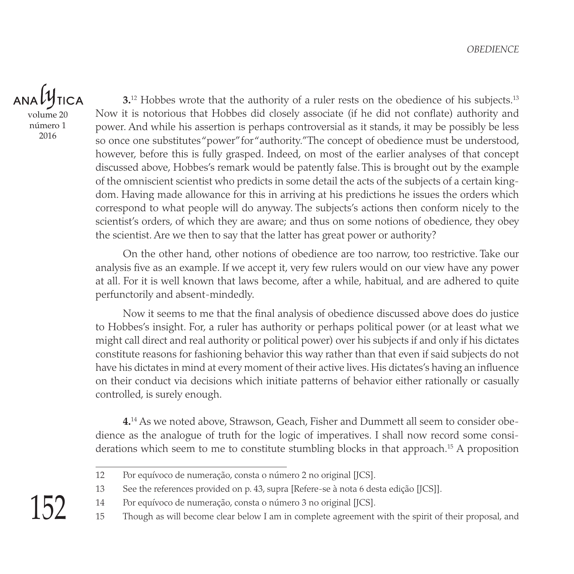### $ANDU$ **TICA**

volume 20 número 1 2016

**3.**<sup>12</sup> Hobbes wrote that the authority of a ruler rests on the obedience of his subjects.<sup>13</sup> Now it is notorious that Hobbes did closely associate (if he did not conflate) authority and power. And while his assertion is perhaps controversial as it stands, it may be possibly be less so once one substitutes "power" for "authority." The concept of obedience must be understood, however, before this is fully grasped. Indeed, on most of the earlier analyses of that concept discussed above, Hobbes's remark would be patently false. This is brought out by the example of the omniscient scientist who predicts in some detail the acts of the subjects of a certain kingdom. Having made allowance for this in arriving at his predictions he issues the orders which correspond to what people will do anyway. The subjects's actions then conform nicely to the scientist's orders, of which they are aware; and thus on some notions of obedience, they obey the scientist. Are we then to say that the latter has great power or authority?

On the other hand, other notions of obedience are too narrow, too restrictive. Take our analysis five as an example. If we accept it, very few rulers would on our view have any power at all. For it is well known that laws become, after a while, habitual, and are adhered to quite perfunctorily and absent-mindedly.

Now it seems to me that the final analysis of obedience discussed above does do justice to Hobbes's insight. For, a ruler has authority or perhaps political power (or at least what we might call direct and real authority or political power) over his subjects if and only if his dictates constitute reasons for fashioning behavior this way rather than that even if said subjects do not have his dictates in mind at every moment of their active lives. His dictates's having an influence on their conduct via decisions which initiate patterns of behavior either rationally or casually controlled, is surely enough.

**4.**14 As we noted above, Strawson, Geach, Fisher and Dummett all seem to consider obedience as the analogue of truth for the logic of imperatives. I shall now record some considerations which seem to me to constitute stumbling blocks in that approach.<sup>15</sup> A proposition

<sup>12</sup> Por equívoco de numeração, consta o número 2 no original [JCS].

<sup>13</sup> See the references provided on p. 43, supra [Refere-se à nota 6 desta edição [JCS]].

<sup>14</sup> Por equívoco de numeração, consta o número 3 no original [JCS].

<sup>15</sup> Though as will become clear below I am in complete agreement with the spirit of their proposal, and